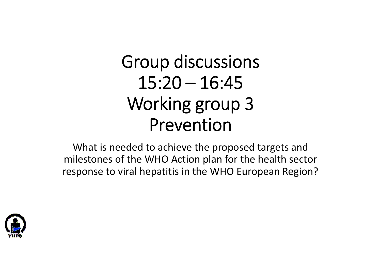# Group discussions  $15:20 - 16:45$ Working group 3 Prevention

What is needed to achieve the proposed targets and milestones of the WHO Action plan for the health sector response to viral hepatitis in the WHO European Region?

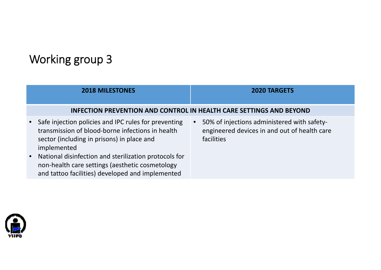### Working group 3

|                        | <b>2018 MILESTONES</b>                                                                                                                                                                                                                                                                                                                | <b>2020 TARGETS</b>                                                                                                           |  |  |
|------------------------|---------------------------------------------------------------------------------------------------------------------------------------------------------------------------------------------------------------------------------------------------------------------------------------------------------------------------------------|-------------------------------------------------------------------------------------------------------------------------------|--|--|
|                        | INFECTION PREVENTION AND CONTROL IN HEALTH CARE SETTINGS AND BEYOND                                                                                                                                                                                                                                                                   |                                                                                                                               |  |  |
| $\bullet$<br>$\bullet$ | Safe injection policies and IPC rules for preventing<br>transmission of blood-borne infections in health<br>sector (including in prisons) in place and<br>implemented<br>National disinfection and sterilization protocols for<br>non-health care settings (aesthetic cosmetology<br>and tattoo facilities) developed and implemented | 50% of injections administered with safety-<br>$\bullet$<br>engineered devices in and out of health care<br><b>facilities</b> |  |  |

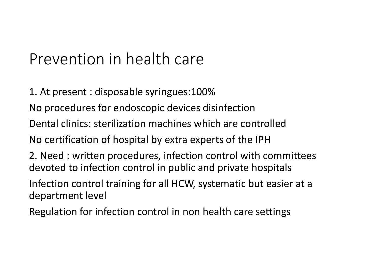## Prevention in health care

1. At present : disposable syringues:100%

No procedures for endoscopic devices disinfection

Dental clinics: sterilization machines which are controlled

No certification of hospital by extra experts of the IPH

2. Need : written procedures, infection control with committees devoted to infection control in public and private hospitals

Infection control training for all HCW, systematic but easier at <sup>a</sup> department level

Regulation for infection control in non health care settings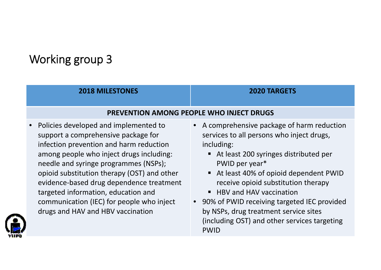### Working group 3

| <b>2018 MILESTONES</b>                                                                                                                                                                                                                                                                                                                                                                                                             | <b>2020 TARGETS</b>                                                                                                                                                                                                                                                                                                                                                                                                      |  |
|------------------------------------------------------------------------------------------------------------------------------------------------------------------------------------------------------------------------------------------------------------------------------------------------------------------------------------------------------------------------------------------------------------------------------------|--------------------------------------------------------------------------------------------------------------------------------------------------------------------------------------------------------------------------------------------------------------------------------------------------------------------------------------------------------------------------------------------------------------------------|--|
| <b>PREVENTION AMONG PEOPLE WHO INJECT DRUGS</b>                                                                                                                                                                                                                                                                                                                                                                                    |                                                                                                                                                                                                                                                                                                                                                                                                                          |  |
| • Policies developed and implemented to<br>support a comprehensive package for<br>infection prevention and harm reduction<br>among people who inject drugs including:<br>needle and syringe programmes (NSPs);<br>opioid substitution therapy (OST) and other<br>evidence-based drug dependence treatment<br>targeted information, education and<br>communication (IEC) for people who inject<br>drugs and HAV and HBV vaccination | • A comprehensive package of harm reduction<br>services to all persons who inject drugs,<br>including:<br>At least 200 syringes distributed per<br>PWID per year*<br>At least 40% of opioid dependent PWID<br>receive opioid substitution therapy<br>■ HBV and HAV vaccination<br>• 90% of PWID receiving targeted IEC provided<br>by NSPs, drug treatment service sites<br>(including OST) and other services targeting |  |

PWID

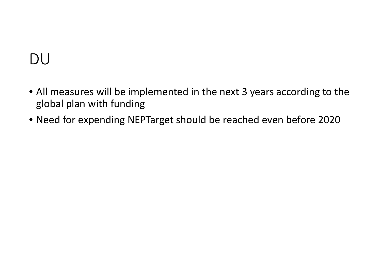## DU

- All measures will be implemented in the next 3 years according to the global plan with funding
- Need for expending NEPTarget should be reached even before 2020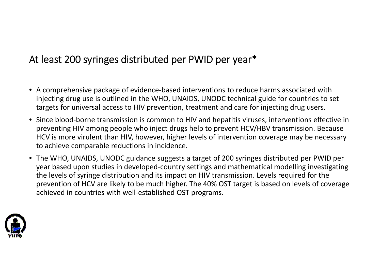#### At least 200 syringes distributed per PWID per year\*

- A comprehensive package of evidence‐based interventions to reduce harms associated with injecting drug use is outlined in the WHO, UNAIDS, UNODC technical guide for countries to set targets for universal access to HIV prevention, treatment and care for injecting drug users.
- Since blood‐borne transmission is common to HIV and hepatitis viruses, interventions effective in preventing HIV among people who inject drugs help to prevent HCV/HBV transmission. Because HCV is more virulent than HIV, however, higher levels of intervention coverage may be necessary to achieve comparable reductions in incidence.
- The WHO, UNAIDS, UNODC guidance suggests <sup>a</sup> target of 200 syringes distributed per PWID per year based upon studies in developed‐country settings and mathematical modelling investigating the levels of syringe distribution and its impact on HIV transmission. Levels required for the prevention of HCV are likely to be much higher. The 40% OST target is based on levels of coverage achieved in countries with well‐established OST programs.

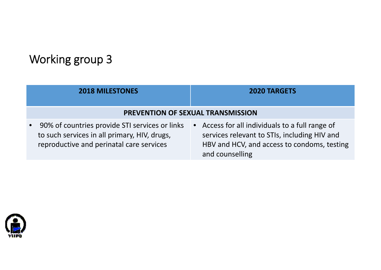#### Working group 3

| <b>2018 MILESTONES</b>                                                                                                                                  | <b>2020 TARGETS</b>                                                                                                                                                          |  |
|---------------------------------------------------------------------------------------------------------------------------------------------------------|------------------------------------------------------------------------------------------------------------------------------------------------------------------------------|--|
| PREVENTION OF SEXUAL TRANSMISSION                                                                                                                       |                                                                                                                                                                              |  |
| 90% of countries provide STI services or links<br>$\bullet$<br>to such services in all primary, HIV, drugs,<br>reproductive and perinatal care services | Access for all individuals to a full range of<br>$\bullet$<br>services relevant to STIs, including HIV and<br>HBV and HCV, and access to condoms, testing<br>and counselling |  |